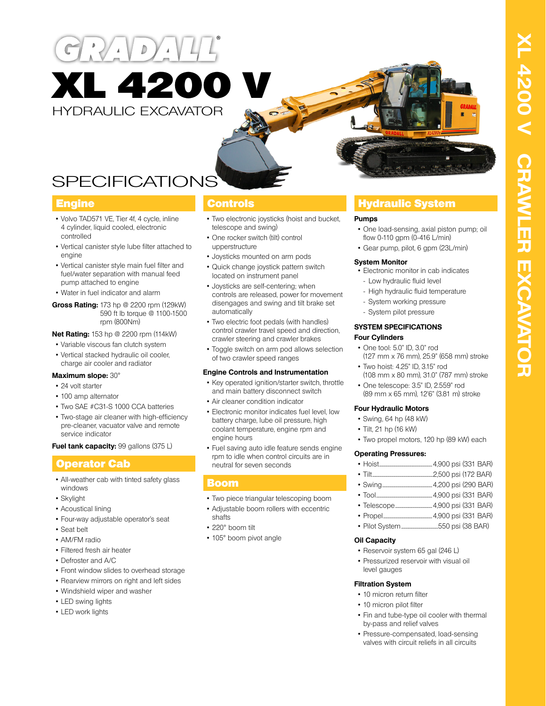# $D$ **XL 4200** HYDRAULIC EXCAVATOR



- Volvo TAD571 VE, Tier 4f, 4 cycle, inline 4 cylinder, liquid cooled, electronic controlled
- Vertical canister style lube filter attached to engine
- Vertical canister style main fuel filter and fuel/water separation with manual feed pump attached to engine
- Water in fuel indicator and alarm
- **Gross Rating:** 173 hp @ 2200 rpm (129kW) 590 ft lb torque @ 1100-1500 rpm (800Nm)

**Net Rating:** 153 hp @ 2200 rpm (114kW)

- Variable viscous fan clutch system
- Vertical stacked hydraulic oil cooler, charge air cooler and radiator

### **Maximum slope:** 30°

- 24 volt starter
- 100 amp alternator
- Two SAE #C31-S 1000 CCA batteries
- Two-stage air cleaner with high-efficiency pre-cleaner, vacuator valve and remote service indicator

**Fuel tank capacity:** 99 gallons (375 L)

# Operator Cab

- All-weather cab with tinted safety glass windows
- Skylight
- Acoustical lining
- Four-way adjustable operator's seat
- Seat belt
- AM/FM radio
- Filtered fresh air heater
- Defroster and A/C
- Front window slides to overhead storage
- Rearview mirrors on right and left sides
- Windshield wiper and washer
- LED swing lights
- LED work lights

- Two electronic joysticks (hoist and bucket, telescope and swing)
- One rocker switch (tilt) control upperstructure
- Joysticks mounted on arm pods
- Quick change joystick pattern switch located on instrument panel
- Joysticks are self-centering; when controls are released, power for movement disengages and swing and tilt brake set automatically
- Two electric foot pedals (with handles) control crawler travel speed and direction, crawler steering and crawler brakes
- Toggle switch on arm pod allows selection of two crawler speed ranges

### **Engine Controls and Instrumentation**

- Key operated ignition/starter switch, throttle and main battery disconnect switch
- Air cleaner condition indicator
- Electronic monitor indicates fuel level, low battery charge, lube oil pressure, high coolant temperature, engine rpm and engine hours
- Fuel saving auto idle feature sends engine rpm to idle when control circuits are in neutral for seven seconds

# Boom

- Two piece triangular telescoping boom
- Adjustable boom rollers with eccentric
- shafts
- 220° boom tilt
- 105° boom pivot angle

# **Engine Controls Controls Hydraulic System**

### **Pumps**

- One load-sensing, axial piston pump; oil flow 0-110 gpm (0-416 L/min)
- Gear pump, pilot, 6 gpm (23L/min)

### **System Monitor**

- Electronic monitor in cab indicates
- Low hydraulic fluid level
	- High hydraulic fluid temperature
- System working pressure
- System pilot pressure

#### **SYSTEM SPECIFICATIONS Four Cylinders**

- One tool: 5.0" ID, 3.0" rod (127 mm x 76 mm), 25.9" (658 mm) stroke
- Two hoist: 4.25" ID, 3.15" rod
- (108 mm x 80 mm), 31.0" (787 mm) stroke • One telescope: 3.5" ID, 2.559" rod
- (89 mm x 65 mm), 12'6" (3.81 m) stroke

### **Four Hydraulic Motors**

- Swing, 64 hp (48 kW)
- Tilt, 21 hp (16 kW)
- Two propel motors, 120 hp (89 kW) each

### **Operating Pressures:**

- Swing..................................................4,200 psi (290 BAR)
- Tool........................................................4,900 psi (331 BAR)
- Telescope.....................................4,900 psi (331 BAR)
- Propel.................................................4,900 psi (331 BAR) • Pilot System.....................................550 psi (38 BAR)

# **Oil Capacity**

- Reservoir system 65 gal (246 L)
- Pressurized reservoir with visual oil level gauges

# **Filtration System**

- 10 micron return filter
- 10 micron pilot filter
- Fin and tube-type oil cooler with thermal by-pass and relief valves
- Pressure-compensated, load-sensing valves with circuit reliefs in all circuits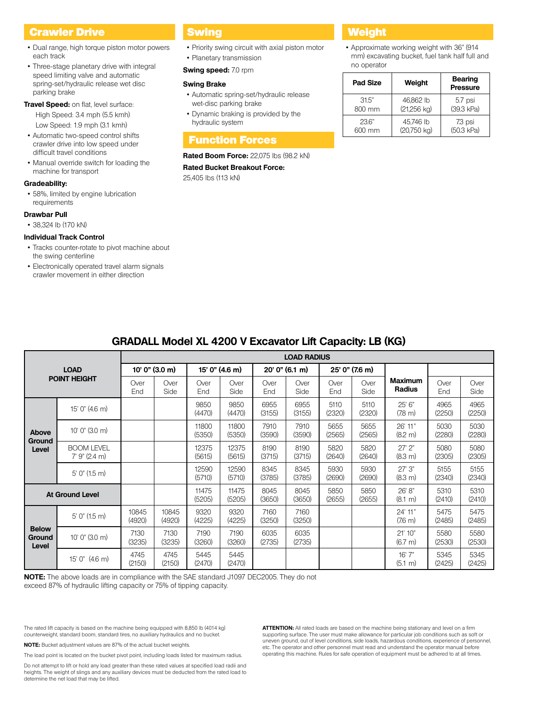# **Crawler Drive Weight Swing Crawler Drive Weight**

- Dual range, high torque piston motor powers each track
- Three-stage planetary drive with integral speed limiting valve and automatic spring-set/hydraulic release wet disc parking brake
- **Travel Speed:** on flat, level surface: High Speed: 3.4 mph (5.5 kmh) Low Speed: 1.9 mph (3.1 kmh)
- Automatic two-speed control shifts crawler drive into low speed under difficult travel conditions
- Manual override switch for loading the machine for transport

#### **Gradeability:**

• 58%, limited by engine lubrication requirements

#### **Drawbar Pull**

• 38,324 lb (170 kN)

#### **Individual Track Control**

- Tracks counter-rotate to pivot machine about the swing centerline
- Electronically operated travel alarm signals crawler movement in either direction

### Swing

- Priority swing circuit with axial piston motor
- Planetary transmission
- **Swing speed:** 7.0 rpm

#### **Swing Brake**

- Automatic spring-set/hydraulic release wet-disc parking brake
- Dynamic braking is provided by the hydraulic system

# Function Forces

#### **Rated Boom Force:** 22,075 lbs (98.2 kN)

**Rated Bucket Breakout Force:**  25,405 lbs (113 kN)

• Approximate working weight with 36" (914 mm) excavating bucket, fuel tank half full and no operator

| <b>Pad Size</b> | Weight                | <b>Bearing</b><br><b>Pressure</b> |
|-----------------|-----------------------|-----------------------------------|
| 315"            | 46.862 lb             | 5.7 psi                           |
| 800 mm          | $(21,256$ kg)         | (39.3 kPa)                        |
| 236"            | 45,746 lb             | 7.3 psi                           |
| 600 mm          | $(20,750 \text{ kg})$ | (50.3 kPa)                        |

|                                 |                                      | <b>LOAD RADIUS</b> |                 |                 |                 |                |                |                |                |                                 |                |                |
|---------------------------------|--------------------------------------|--------------------|-----------------|-----------------|-----------------|----------------|----------------|----------------|----------------|---------------------------------|----------------|----------------|
| <b>LOAD</b>                     |                                      | 10' 0" (3.0 m)     |                 | 15' 0" (4.6 m)  |                 | 20' 0" (6.1 m) |                | 25' 0" (7.6 m) |                |                                 |                |                |
|                                 | <b>POINT HEIGHT</b>                  | Over<br>End        | Over<br>Side    | Over<br>End     | Over<br>Side    | Over<br>End    | Over<br>Side   | Over<br>End    | Over<br>Side   | <b>Maximum</b><br><b>Radius</b> | Over<br>End    | Over<br>Side   |
|                                 | 15' 0" (4.6 m)                       |                    |                 | 9850<br>(4470)  | 9850<br>(4470)  | 6955<br>(3155) | 6955<br>(3155) | 5110<br>(2320) | 5110<br>(2320) | 25' 6"<br>$(7.8 \text{ m})$     | 4965<br>(2250) | 4965<br>(2250) |
| Above                           | 10' 0'' (3.0 m)                      |                    |                 | 11800<br>(5350) | 11800<br>(5350) | 7910<br>(3590) | 7910<br>(3590) | 5655<br>(2565) | 5655<br>(2565) | 26' 11"<br>$(8.2 \text{ m})$    | 5030<br>(2280) | 5030<br>(2280) |
| Ground<br>Level                 | <b>BOOM LEVEL</b><br>$7'$ 9" (2.4 m) |                    |                 | 12375<br>(5615) | 12375<br>(5615) | 8190<br>(3715) | 8190<br>(3715) | 5820<br>(2640) | 5820<br>(2640) | $27'$ $2"$<br>(8.3 m)           | 5080<br>(2305) | 5080<br>(2305) |
|                                 | $5'$ 0" (1.5 m)                      |                    |                 | 12590<br>(5710) | 12590<br>(5710) | 8345<br>(3785) | 8345<br>(3785) | 5930<br>(2690) | 5930<br>(2690) | 27'3''<br>(8.3 m)               | 5155<br>(2340) | 5155<br>(2340) |
|                                 | <b>At Ground Level</b>               |                    |                 | 11475<br>(5205) | 11475<br>(5205) | 8045<br>(3650) | 8045<br>(3650) | 5850<br>(2655) | 5850<br>(2655) | 26' 8"<br>$(8.1 \text{ m})$     | 5310<br>(2410) | 5310<br>(2410) |
|                                 | $5'$ 0" (1.5 m)                      | 10845<br>(4920)    | 10845<br>(4920) | 9320<br>(4225)  | 9320<br>(4225)  | 7160<br>(3250) | 7160<br>(3250) |                |                | 24' 11"<br>$(76 \, \text{m})$   | 5475<br>(2485) | 5475<br>(2485) |
| <b>Below</b><br>Ground<br>Level | 10' 0'' (3.0 m)                      | 7130<br>(3235)     | 7130<br>(3235)  | 7190<br>(3260)  | 7190<br>(3260)  | 6035<br>(2735) | 6035<br>(2735) |                |                | 21'10''<br>$(6.7 \text{ m})$    | 5580<br>(2530) | 5580<br>(2530) |
|                                 | 15' 0" (4.6 m)                       | 4745<br>(2150)     | 4745<br>(2150)  | 5445<br>(2470)  | 5445<br>(2470)  |                |                |                |                | 16'7''<br>$(5.1 \text{ m})$     | 5345<br>(2425) | 5345<br>(2425) |

#### exceed 87% of hydraulic lifting capacity or 75% of tipping capacity.

The rated lift capacity is based on the machine being equipped with 8,850 lb (4014 kg) counterweight, standard boom, standard tires, no auxiliary hydraulics and no bucket.

**NOTE:** Bucket adjustment values are 87% of the actual bucket weights.

The load point is located on the bucket pivot point, including loads listed for maximum radius.

Do not attempt to lift or hold any load greater than these rated values at specified load radii and heights. The weight of slings and any auxiliary devices must be deducted from the rated load to determine the net load that may be lifted.

**ATTENTION:** All rated loads are based on the machine being stationary and level on a firm supporting surface. The user must make allowance for particular job conditions such as soft or uneven ground, out of level conditions, side loads, hazardous conditions, experience of personnel, etc. The operator and other personnel must read and understand the operator manual before operating this machine. Rules for safe operation of equipment must be adhered to at all times.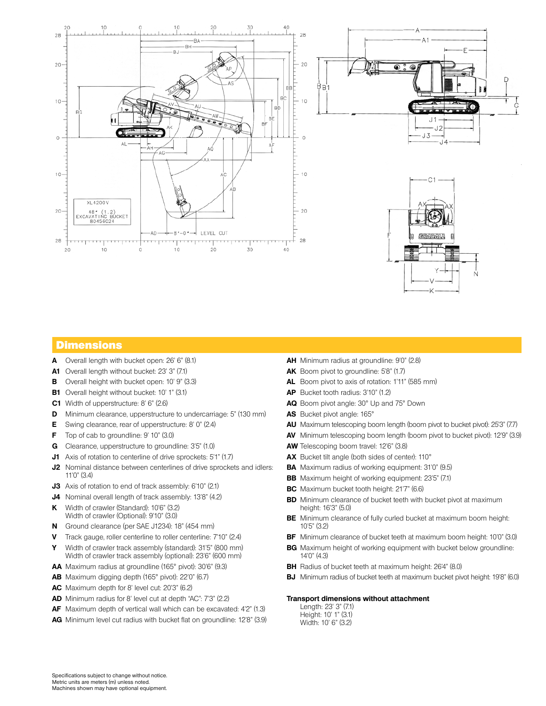

## **Dimensions**

- **A** Overall length with bucket open: 26' 6" (8.1)
- **A1** Overall length without bucket: 23' 3" (7.1)
- **B** Overall height with bucket open: 10' 9" (3.3)
- **B1** Overall height without bucket: 10' 1" (3.1)
- **C1** Width of upperstructure: 8' 6" (2.6)
- **D** Minimum clearance, upperstructure to undercarriage: 5" (130 mm)
- **E** Swing clearance, rear of upperstructure: 8' 0" (2.4)
- **F** Top of cab to groundline: 9' 10" (3.0)
- **G** Clearance, upperstructure to groundline: 3'5" (1.0)
- **J1** Axis of rotation to centerline of drive sprockets: 5'1" (1.7)
- **J2** Nominal distance between centerlines of drive sprockets and idlers: 11'0" (3.4)
- **J3** Axis of rotation to end of track assembly: 6'10" (2.1)
- **J4** Nominal overall length of track assembly: 13'8" (4.2)
- **K** Width of crawler (Standard): 10'6" (3.2) Width of crawler (Optional): 9'10" (3.0)
- **N** Ground clearance (per SAE J1234): 18" (454 mm)
- **V** Track gauge, roller centerline to roller centerline: 7'10" (2.4)
- **Y** Width of crawler track assembly (standard): 31'5" (800 mm) Width of crawler track assembly (optional): 23'6" (600 mm)
- **AA** Maximum radius at groundline (165° pivot): 30'6" (9.3)
- **AB** Maximum digging depth (165° pivot): 22'0" (6.7)
- **AC** Maximum depth for 8' level cut: 20'3" (6.2)
- **AD** Minimum radius for 8' level cut at depth "AC": 7'3" (2.2)
- **AF** Maximum depth of vertical wall which can be excavated: 4'2" (1.3)
- **AG** Minimum level cut radius with bucket flat on groundline: 12'8" (3.9)
- **AH** Minimum radius at groundline: 9'0" (2.8)
- **AK** Boom pivot to groundline: 5'8" (1.7)
- **AL** Boom pivot to axis of rotation: 1'11" (585 mm)
- **AP** Bucket tooth radius: 3'10" (1.2)
- **AQ** Boom pivot angle: 30° Up and 75° Down
- **AS** Bucket pivot angle: 165°
- **AU** Maximum telescoping boom length (boom pivot to bucket pivot): 25'3" (7.7)
- **AV** Minimum telescoping boom length (boom pivot to bucket pivot): 12'9" (3.9)
- **AW** Telescoping boom travel: 12'6" (3.8)
- **AX** Bucket tilt angle (both sides of center): 110°
- **BA** Maximum radius of working equipment: 31'0" (9.5)
- **BB** Maximum height of working equipment: 23'5" (7.1)
- **BC** Maximum bucket tooth height: 21'7" (6.6)
- **BD** Minimum clearance of bucket teeth with bucket pivot at maximum height: 16'3" (5.0)
- **BE** Minimum clearance of fully curled bucket at maximum boom height: 10'5" (3.2)
- **BF** Minimum clearance of bucket teeth at maximum boom height: 10'0" (3.0)
- **BG** Maximum height of working equipment with bucket below groundline: 14'0" (4.3)
- **BH** Radius of bucket teeth at maximum height: 26'4" (8.0)
- **BJ** Minimum radius of bucket teeth at maximum bucket pivot height: 19'8" (6.0)

#### **Transport dimensions without attachment**

Length: 23' 3" (7.1) Height: 10' 1" (3.1) Width: 10' 6" (3.2)